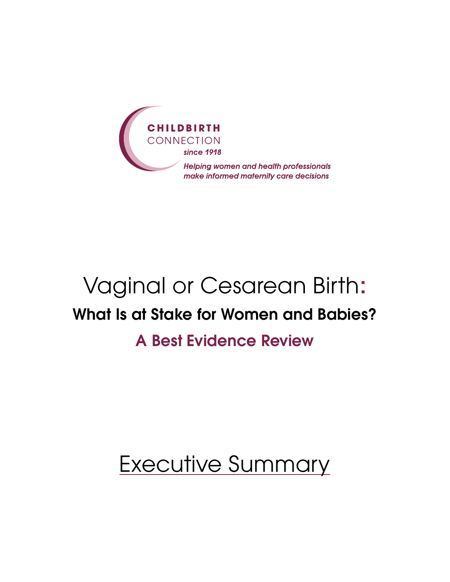

# Vaginal or Cesarean Birth: What Is at Stake for Women and Babies? A Best Evidence Review

# Executive Summary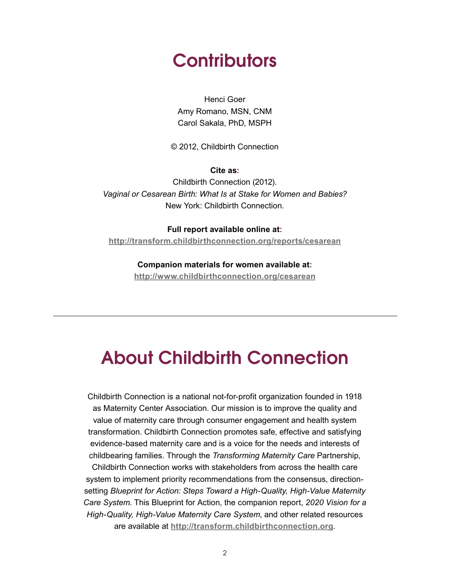# **Contributors**

Henci Goer Amy Romano, MSN, CNM Carol Sakala, PhD, MSPH

© 2012, Childbirth Connection

**Cite as:**

Childbirth Connection (2012). *Vaginal or Cesarean Birth: What Is at Stake for Women and Babies?*  New York: Childbirth Connection.

**Full report available online at: <http://transform.childbirthconnection.org/reports/cesarean>**

> **Companion materials for women available at: <http://www.childbirthconnection.org/cesarean>**

# About Childbirth Connection

Childbirth Connection is a national not-for-profit organization founded in 1918 as Maternity Center Association. Our mission is to improve the quality and value of maternity care through consumer engagement and health system transformation. Childbirth Connection promotes safe, effective and satisfying evidence-based maternity care and is a voice for the needs and interests of childbearing families. Through the *Transforming Maternity Care* Partnership, Childbirth Connection works with stakeholders from across the health care system to implement priority recommendations from the consensus, directionsetting *Blueprint for Action: Steps Toward a High-Quality, High-Value Maternity Care System*. This Blueprint for Action, the companion report, *2020 Vision for a High-Quality, High-Value Maternity Care System*, and other related resources are available at **<http://transform.childbirthconnection.org>**.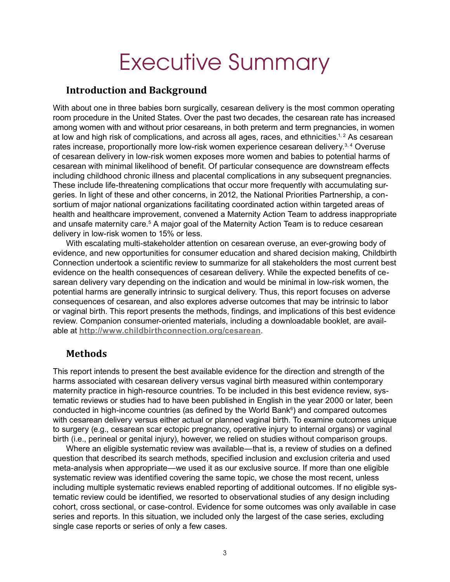# Executive Summary

#### **Introduction and Background**

With about one in three babies born surgically, cesarean delivery is the most common operating room procedure in the United States. Over the past two decades, the cesarean rate has increased among women with and without prior cesareans, in both preterm and term pregnancies, in women at low and high risk of complications, and across all ages, races, and ethnicities.<sup>1, 2</sup> As cesarean rates increase, proportionally more low-risk women experience cesarean delivery.<sup>3, 4</sup> Overuse of cesarean delivery in low-risk women exposes more women and babies to potential harms of cesarean with minimal likelihood of benefit. Of particular consequence are downstream effects including childhood chronic illness and placental complications in any subsequent pregnancies. These include life-threatening complications that occur more frequently with accumulating surgeries. In light of these and other concerns, in 2012, the National Priorities Partnership, a consortium of major national organizations facilitating coordinated action within targeted areas of health and healthcare improvement, convened a Maternity Action Team to address inappropriate and unsafe maternity care.<sup>5</sup> A major goal of the Maternity Action Team is to reduce cesarean delivery in low-risk women to 15% or less.

With escalating multi-stakeholder attention on cesarean overuse, an ever-growing body of evidence, and new opportunities for consumer education and shared decision making, Childbirth Connection undertook a scientific review to summarize for all stakeholders the most current best evidence on the health consequences of cesarean delivery. While the expected benefits of cesarean delivery vary depending on the indication and would be minimal in low-risk women, the potential harms are generally intrinsic to surgical delivery. Thus, this report focuses on adverse consequences of cesarean, and also explores adverse outcomes that may be intrinsic to labor or vaginal birth. This report presents the methods, findings, and implications of this best evidence review. Companion consumer-oriented materials, including a downloadable booklet, are available at **<http://www.childbirthconnection.org/cesarean>**.

#### **Methods**

This report intends to present the best available evidence for the direction and strength of the harms associated with cesarean delivery versus vaginal birth measured within contemporary maternity practice in high-resource countries. To be included in this best evidence review, systematic reviews or studies had to have been published in English in the year 2000 or later, been conducted in high-income countries (as defined by the World Bank<sup>6</sup>) and compared outcomes with cesarean delivery versus either actual or planned vaginal birth. To examine outcomes unique to surgery (e.g., cesarean scar ectopic pregnancy, operative injury to internal organs) or vaginal birth (i.e., perineal or genital injury), however, we relied on studies without comparison groups.

Where an eligible systematic review was available—that is, a review of studies on a defined question that described its search methods, specified inclusion and exclusion criteria and used meta-analysis when appropriate—we used it as our exclusive source. If more than one eligible systematic review was identified covering the same topic, we chose the most recent, unless including multiple systematic reviews enabled reporting of additional outcomes. If no eligible systematic review could be identified, we resorted to observational studies of any design including cohort, cross sectional, or case-control. Evidence for some outcomes was only available in case series and reports. In this situation, we included only the largest of the case series, excluding single case reports or series of only a few cases.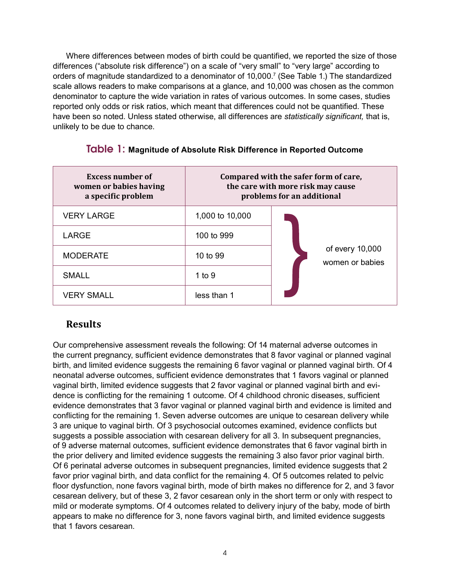Where differences between modes of birth could be quantified, we reported the size of those differences ("absolute risk difference") on a scale of "very small" to "very large" according to orders of magnitude standardized to a denominator of 10,000.7 (See Table 1.) The standardized scale allows readers to make comparisons at a glance, and 10,000 was chosen as the common denominator to capture the wide variation in rates of various outcomes. In some cases, studies reported only odds or risk ratios, which meant that differences could not be quantified. These have been so noted. Unless stated otherwise, all differences are *statistically significant,* that is, unlikely to be due to chance.

| <b>Excess number of</b><br>women or babies having<br>a specific problem | Compared with the safer form of care,<br>the care with more risk may cause<br>problems for an additional |                                    |
|-------------------------------------------------------------------------|----------------------------------------------------------------------------------------------------------|------------------------------------|
| <b>VERY LARGE</b>                                                       | 1,000 to 10,000                                                                                          |                                    |
| <b>LARGE</b>                                                            | 100 to 999                                                                                               | of every 10,000<br>women or babies |
| <b>MODERATE</b>                                                         | 10 to 99                                                                                                 |                                    |
| <b>SMALL</b>                                                            | 1 to 9                                                                                                   |                                    |
| <b>VERY SMALL</b>                                                       | less than 1                                                                                              |                                    |

#### Table 1: **Magnitude of Absolute Risk Difference in Reported Outcome**

#### **Results**

Our comprehensive assessment reveals the following: Of 14 maternal adverse outcomes in the current pregnancy, sufficient evidence demonstrates that 8 favor vaginal or planned vaginal birth, and limited evidence suggests the remaining 6 favor vaginal or planned vaginal birth. Of 4 neonatal adverse outcomes, sufficient evidence demonstrates that 1 favors vaginal or planned vaginal birth, limited evidence suggests that 2 favor vaginal or planned vaginal birth and evidence is conflicting for the remaining 1 outcome. Of 4 childhood chronic diseases, sufficient evidence demonstrates that 3 favor vaginal or planned vaginal birth and evidence is limited and conflicting for the remaining 1. Seven adverse outcomes are unique to cesarean delivery while 3 are unique to vaginal birth. Of 3 psychosocial outcomes examined, evidence conflicts but suggests a possible association with cesarean delivery for all 3. In subsequent pregnancies, of 9 adverse maternal outcomes, sufficient evidence demonstrates that 6 favor vaginal birth in the prior delivery and limited evidence suggests the remaining 3 also favor prior vaginal birth. Of 6 perinatal adverse outcomes in subsequent pregnancies, limited evidence suggests that 2 favor prior vaginal birth, and data conflict for the remaining 4. Of 5 outcomes related to pelvic floor dysfunction, none favors vaginal birth, mode of birth makes no difference for 2, and 3 favor cesarean delivery, but of these 3, 2 favor cesarean only in the short term or only with respect to mild or moderate symptoms. Of 4 outcomes related to delivery injury of the baby, mode of birth appears to make no difference for 3, none favors vaginal birth, and limited evidence suggests that 1 favors cesarean.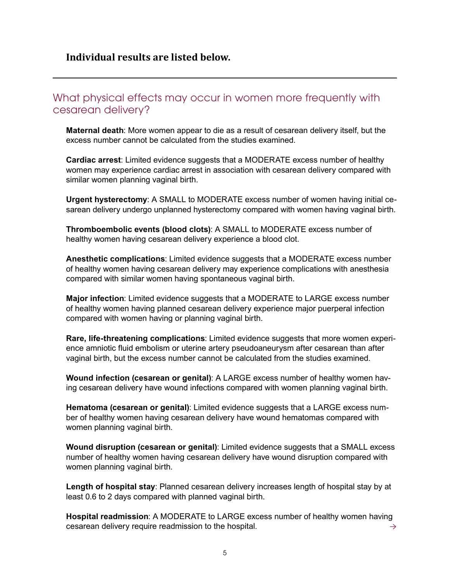## What physical effects may occur in women more frequently with cesarean delivery?

**Maternal death**: More women appear to die as a result of cesarean delivery itself, but the excess number cannot be calculated from the studies examined.

**Cardiac arrest**: Limited evidence suggests that a MODERATE excess number of healthy women may experience cardiac arrest in association with cesarean delivery compared with similar women planning vaginal birth.

**Urgent hysterectomy**: A SMALL to MODERATE excess number of women having initial cesarean delivery undergo unplanned hysterectomy compared with women having vaginal birth.

**Thromboembolic events (blood clots)**: A SMALL to MODERATE excess number of healthy women having cesarean delivery experience a blood clot.

**Anesthetic complications**: Limited evidence suggests that a MODERATE excess number of healthy women having cesarean delivery may experience complications with anesthesia compared with similar women having spontaneous vaginal birth.

**Major infection**: Limited evidence suggests that a MODERATE to LARGE excess number of healthy women having planned cesarean delivery experience major puerperal infection compared with women having or planning vaginal birth.

**Rare, life-threatening complications**: Limited evidence suggests that more women experience amniotic fluid embolism or uterine artery pseudoaneurysm after cesarean than after vaginal birth, but the excess number cannot be calculated from the studies examined.

**Wound infection (cesarean or genital)**: A LARGE excess number of healthy women having cesarean delivery have wound infections compared with women planning vaginal birth.

**Hematoma (cesarean or genital)**: Limited evidence suggests that a LARGE excess number of healthy women having cesarean delivery have wound hematomas compared with women planning vaginal birth.

**Wound disruption (cesarean or genital)**: Limited evidence suggests that a SMALL excess number of healthy women having cesarean delivery have wound disruption compared with women planning vaginal birth.

**Length of hospital stay**: Planned cesarean delivery increases length of hospital stay by at least 0.6 to 2 days compared with planned vaginal birth.

**Hospital readmission**: A MODERATE to LARGE excess number of healthy women having cesarean delivery require readmission to the hospital.  $\rightarrow$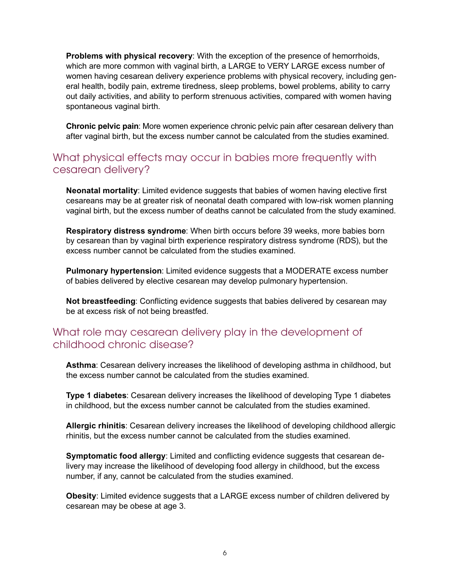**Problems with physical recovery**: With the exception of the presence of hemorrhoids, which are more common with vaginal birth, a LARGE to VERY LARGE excess number of women having cesarean delivery experience problems with physical recovery, including general health, bodily pain, extreme tiredness, sleep problems, bowel problems, ability to carry out daily activities, and ability to perform strenuous activities, compared with women having spontaneous vaginal birth.

**Chronic pelvic pain**: More women experience chronic pelvic pain after cesarean delivery than after vaginal birth, but the excess number cannot be calculated from the studies examined.

## What physical effects may occur in babies more frequently with cesarean delivery?

**Neonatal mortality**: Limited evidence suggests that babies of women having elective first cesareans may be at greater risk of neonatal death compared with low-risk women planning vaginal birth, but the excess number of deaths cannot be calculated from the study examined.

**Respiratory distress syndrome**: When birth occurs before 39 weeks, more babies born by cesarean than by vaginal birth experience respiratory distress syndrome (RDS), but the excess number cannot be calculated from the studies examined.

**Pulmonary hypertension**: Limited evidence suggests that a MODERATE excess number of babies delivered by elective cesarean may develop pulmonary hypertension.

**Not breastfeeding**: Conflicting evidence suggests that babies delivered by cesarean may be at excess risk of not being breastfed.

### What role may cesarean delivery play in the development of childhood chronic disease?

**Asthma**: Cesarean delivery increases the likelihood of developing asthma in childhood, but the excess number cannot be calculated from the studies examined.

**Type 1 diabetes**: Cesarean delivery increases the likelihood of developing Type 1 diabetes in childhood, but the excess number cannot be calculated from the studies examined.

**Allergic rhinitis**: Cesarean delivery increases the likelihood of developing childhood allergic rhinitis, but the excess number cannot be calculated from the studies examined.

**Symptomatic food allergy**: Limited and conflicting evidence suggests that cesarean delivery may increase the likelihood of developing food allergy in childhood, but the excess number, if any, cannot be calculated from the studies examined.

**Obesity**: Limited evidence suggests that a LARGE excess number of children delivered by cesarean may be obese at age 3.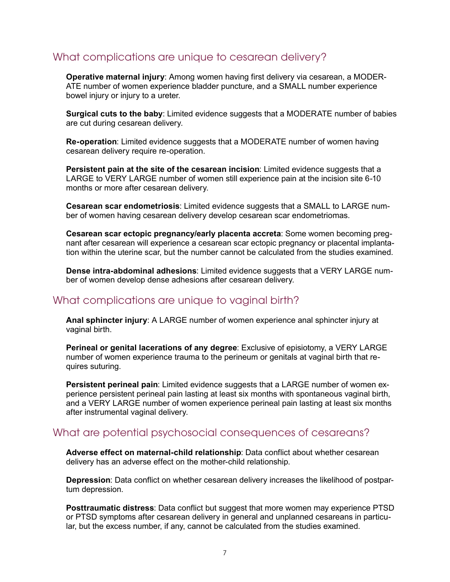## What complications are unique to cesarean delivery?

**Operative maternal injury**: Among women having first delivery via cesarean, a MODER-ATE number of women experience bladder puncture, and a SMALL number experience bowel injury or injury to a ureter.

**Surgical cuts to the baby**: Limited evidence suggests that a MODERATE number of babies are cut during cesarean delivery.

**Re-operation**: Limited evidence suggests that a MODERATE number of women having cesarean delivery require re-operation.

**Persistent pain at the site of the cesarean incision**: Limited evidence suggests that a LARGE to VERY LARGE number of women still experience pain at the incision site 6-10 months or more after cesarean delivery.

**Cesarean scar endometriosis**: Limited evidence suggests that a SMALL to LARGE number of women having cesarean delivery develop cesarean scar endometriomas.

**Cesarean scar ectopic pregnancy/early placenta accreta**: Some women becoming pregnant after cesarean will experience a cesarean scar ectopic pregnancy or placental implantation within the uterine scar, but the number cannot be calculated from the studies examined.

**Dense intra-abdominal adhesions**: Limited evidence suggests that a VERY LARGE number of women develop dense adhesions after cesarean delivery.

#### What complications are unique to vaginal birth?

**Anal sphincter injury**: A LARGE number of women experience anal sphincter injury at vaginal birth.

**Perineal or genital lacerations of any degree**: Exclusive of episiotomy, a VERY LARGE number of women experience trauma to the perineum or genitals at vaginal birth that requires suturing.

**Persistent perineal pain**: Limited evidence suggests that a LARGE number of women experience persistent perineal pain lasting at least six months with spontaneous vaginal birth, and a VERY LARGE number of women experience perineal pain lasting at least six months after instrumental vaginal delivery.

#### What are potential psychosocial consequences of cesareans?

**Adverse effect on maternal-child relationship**: Data conflict about whether cesarean delivery has an adverse effect on the mother-child relationship.

**Depression**: Data conflict on whether cesarean delivery increases the likelihood of postpartum depression.

**Posttraumatic distress**: Data conflict but suggest that more women may experience PTSD or PTSD symptoms after cesarean delivery in general and unplanned cesareans in particular, but the excess number, if any, cannot be calculated from the studies examined.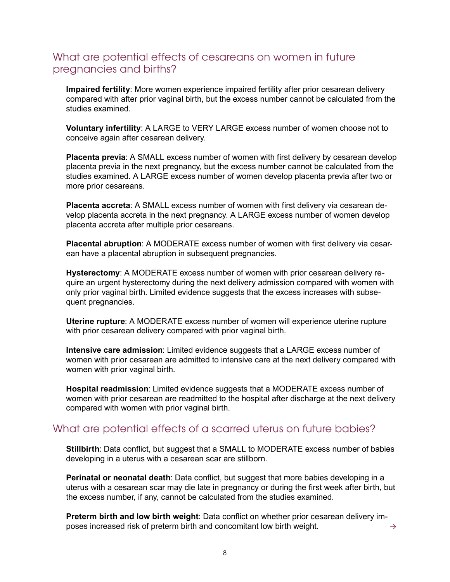## What are potential effects of cesareans on women in future pregnancies and births?

**Impaired fertility**: More women experience impaired fertility after prior cesarean delivery compared with after prior vaginal birth, but the excess number cannot be calculated from the studies examined.

**Voluntary infertility**: A LARGE to VERY LARGE excess number of women choose not to conceive again after cesarean delivery.

**Placenta previa**: A SMALL excess number of women with first delivery by cesarean develop placenta previa in the next pregnancy, but the excess number cannot be calculated from the studies examined. A LARGE excess number of women develop placenta previa after two or more prior cesareans.

**Placenta accreta**: A SMALL excess number of women with first delivery via cesarean develop placenta accreta in the next pregnancy. A LARGE excess number of women develop placenta accreta after multiple prior cesareans.

**Placental abruption**: A MODERATE excess number of women with first delivery via cesarean have a placental abruption in subsequent pregnancies.

**Hysterectomy**: A MODERATE excess number of women with prior cesarean delivery require an urgent hysterectomy during the next delivery admission compared with women with only prior vaginal birth. Limited evidence suggests that the excess increases with subsequent pregnancies.

**Uterine rupture**: A MODERATE excess number of women will experience uterine rupture with prior cesarean delivery compared with prior vaginal birth.

**Intensive care admission**: Limited evidence suggests that a LARGE excess number of women with prior cesarean are admitted to intensive care at the next delivery compared with women with prior vaginal birth.

**Hospital readmission**: Limited evidence suggests that a MODERATE excess number of women with prior cesarean are readmitted to the hospital after discharge at the next delivery compared with women with prior vaginal birth.

#### What are potential effects of a scarred uterus on future babies?

**Stillbirth**: Data conflict, but suggest that a SMALL to MODERATE excess number of babies developing in a uterus with a cesarean scar are stillborn.

**Perinatal or neonatal death**: Data conflict, but suggest that more babies developing in a uterus with a cesarean scar may die late in pregnancy or during the first week after birth, but the excess number, if any, cannot be calculated from the studies examined.

**Preterm birth and low birth weight**: Data conflict on whether prior cesarean delivery imposes increased risk of preterm birth and concomitant low birth weight.  $\rightarrow$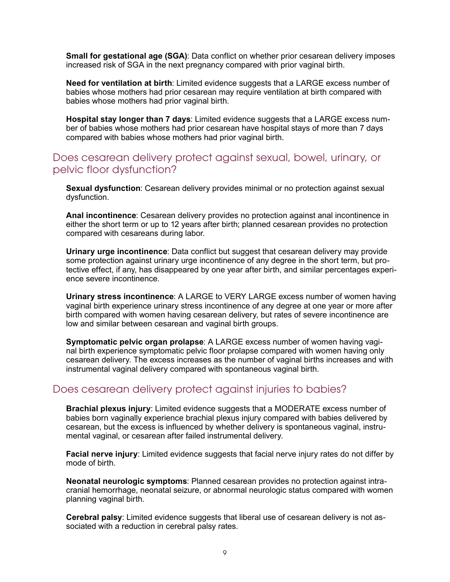**Small for gestational age (SGA)**: Data conflict on whether prior cesarean delivery imposes increased risk of SGA in the next pregnancy compared with prior vaginal birth.

**Need for ventilation at birth**: Limited evidence suggests that a LARGE excess number of babies whose mothers had prior cesarean may require ventilation at birth compared with babies whose mothers had prior vaginal birth.

**Hospital stay longer than 7 days**: Limited evidence suggests that a LARGE excess number of babies whose mothers had prior cesarean have hospital stays of more than 7 days compared with babies whose mothers had prior vaginal birth.

#### Does cesarean delivery protect against sexual, bowel, urinary, or pelvic floor dysfunction?

**Sexual dysfunction**: Cesarean delivery provides minimal or no protection against sexual dysfunction.

**Anal incontinence**: Cesarean delivery provides no protection against anal incontinence in either the short term or up to 12 years after birth; planned cesarean provides no protection compared with cesareans during labor.

**Urinary urge incontinence**: Data conflict but suggest that cesarean delivery may provide some protection against urinary urge incontinence of any degree in the short term, but protective effect, if any, has disappeared by one year after birth, and similar percentages experience severe incontinence.

**Urinary stress incontinence**: A LARGE to VERY LARGE excess number of women having vaginal birth experience urinary stress incontinence of any degree at one year or more after birth compared with women having cesarean delivery, but rates of severe incontinence are low and similar between cesarean and vaginal birth groups.

**Symptomatic pelvic organ prolapse**: A LARGE excess number of women having vaginal birth experience symptomatic pelvic floor prolapse compared with women having only cesarean delivery. The excess increases as the number of vaginal births increases and with instrumental vaginal delivery compared with spontaneous vaginal birth.

#### Does cesarean delivery protect against injuries to babies?

**Brachial plexus injury**: Limited evidence suggests that a MODERATE excess number of babies born vaginally experience brachial plexus injury compared with babies delivered by cesarean, but the excess is influenced by whether delivery is spontaneous vaginal, instrumental vaginal, or cesarean after failed instrumental delivery.

**Facial nerve injury**: Limited evidence suggests that facial nerve injury rates do not differ by mode of birth.

**Neonatal neurologic symptoms**: Planned cesarean provides no protection against intracranial hemorrhage, neonatal seizure, or abnormal neurologic status compared with women planning vaginal birth.

**Cerebral palsy**: Limited evidence suggests that liberal use of cesarean delivery is not associated with a reduction in cerebral palsy rates.